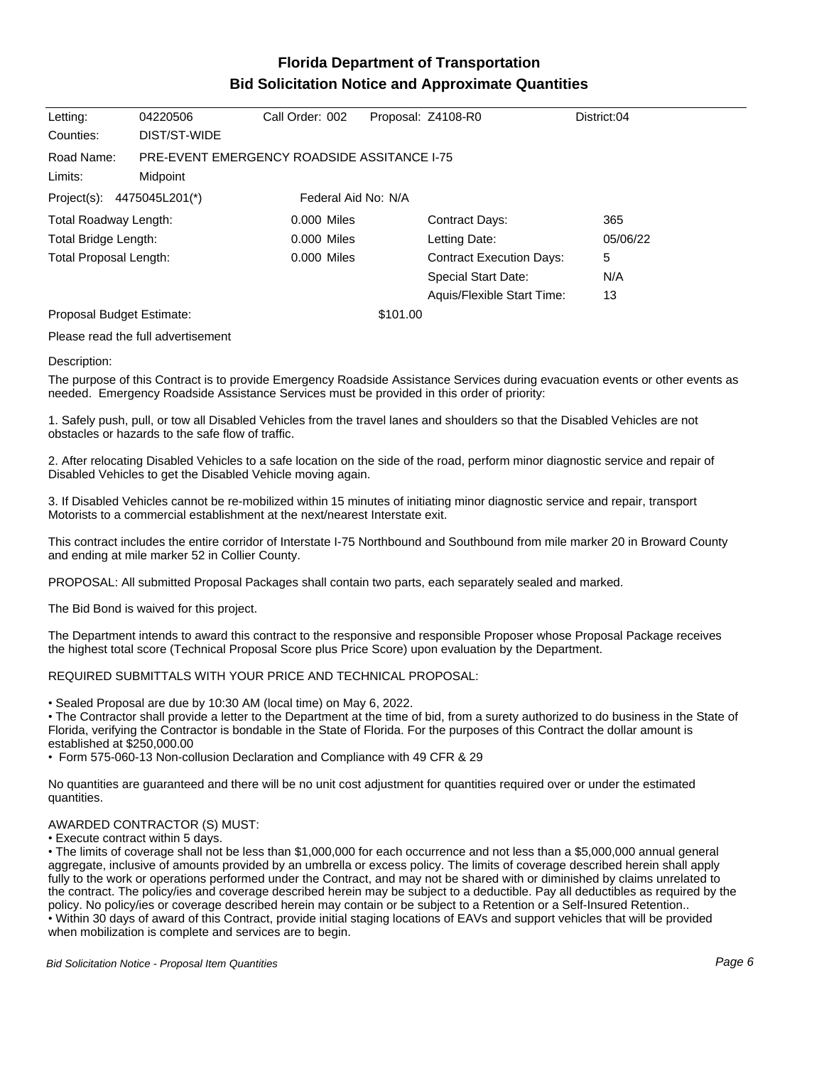# **Florida Department of Transportation Bid Solicitation Notice and Approximate Quantities**

| Letting:                                                        | 04220506                                                       | Call Order: 002 |          | Proposal: Z4108-R0              | District:04 |  |  |
|-----------------------------------------------------------------|----------------------------------------------------------------|-----------------|----------|---------------------------------|-------------|--|--|
| Counties:                                                       | DIST/ST-WIDE                                                   |                 |          |                                 |             |  |  |
| Road Name:<br>Limits:                                           | <b>PRE-EVENT EMERGENCY ROADSIDE ASSITANCE 1-75</b><br>Midpoint |                 |          |                                 |             |  |  |
| Federal Aid No: N/A<br>Project(s): $4475045L201$ <sup>*</sup> ) |                                                                |                 |          |                                 |             |  |  |
| Total Roadway Length:                                           |                                                                | $0.000$ Miles   |          | <b>Contract Days:</b>           | 365         |  |  |
| Total Bridge Length:                                            |                                                                | $0.000$ Miles   |          | Letting Date:                   | 05/06/22    |  |  |
| <b>Total Proposal Length:</b><br>$0.000$ Miles                  |                                                                |                 |          | <b>Contract Execution Days:</b> | 5           |  |  |
|                                                                 |                                                                |                 |          | Special Start Date:             | N/A         |  |  |
|                                                                 |                                                                |                 |          | Aquis/Flexible Start Time:      | 13          |  |  |
| Proposal Budget Estimate:                                       |                                                                |                 | \$101.00 |                                 |             |  |  |

Please read the full advertisement

### Description:

The purpose of this Contract is to provide Emergency Roadside Assistance Services during evacuation events or other events as needed. Emergency Roadside Assistance Services must be provided in this order of priority:

1. Safely push, pull, or tow all Disabled Vehicles from the travel lanes and shoulders so that the Disabled Vehicles are not obstacles or hazards to the safe flow of traffic.

2. After relocating Disabled Vehicles to a safe location on the side of the road, perform minor diagnostic service and repair of Disabled Vehicles to get the Disabled Vehicle moving again.

3. If Disabled Vehicles cannot be re-mobilized within 15 minutes of initiating minor diagnostic service and repair, transport Motorists to a commercial establishment at the next/nearest Interstate exit.

This contract includes the entire corridor of Interstate I-75 Northbound and Southbound from mile marker 20 in Broward County and ending at mile marker 52 in Collier County.

PROPOSAL: All submitted Proposal Packages shall contain two parts, each separately sealed and marked.

The Bid Bond is waived for this project.

The Department intends to award this contract to the responsive and responsible Proposer whose Proposal Package receives the highest total score (Technical Proposal Score plus Price Score) upon evaluation by the Department.

## REQUIRED SUBMITTALS WITH YOUR PRICE AND TECHNICAL PROPOSAL:

Sealed Proposal are due by 10:30 AM (local time) on May 6, 2022.

The Contractor shall provide a letter to the Department at the time of bid, from a surety authorized to do business in the State of Florida, verifying the Contractor is bondable in the State of Florida. For the purposes of this Contract the dollar amount is established at \$250,000.00

Form 575-060-13 Non-collusion Declaration and Compliance with 49 CFR & 29

No quantities are guaranteed and there will be no unit cost adjustment for quantities required over or under the estimated quantities.

### AWARDED CONTRACTOR (S) MUST:

Execute contract within 5 days.

The limits of coverage shall not be less than \$1,000,000 for each occurrence and not less than a \$5,000,000 annual general aggregate, inclusive of amounts provided by an umbrella or excess policy. The limits of coverage described herein shall apply fully to the work or operations performed under the Contract, and may not be shared with or diminished by claims unrelated to the contract. The policy/ies and coverage described herein may be subject to a deductible. Pay all deductibles as required by the policy. No policy/ies or coverage described herein may contain or be subject to a Retention or a Self-Insured Retention.. Within 30 days of award of this Contract, provide initial staging locations of EAVs and support vehicles that will be provided when mobilization is complete and services are to begin.